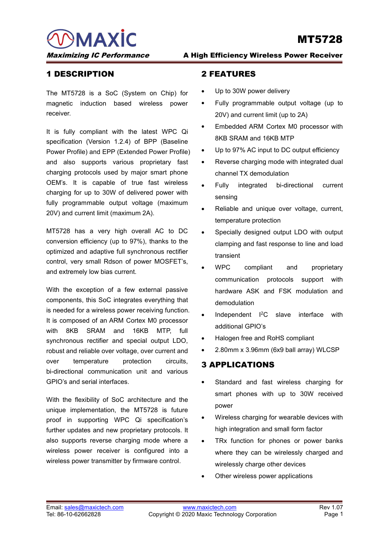WAXIC MERROU NT5728<br>
Maximizing IC Performance A High Efficiency Wireless Power Receiver<br>
1 DESCRIPTION 2 FEATURES

Maximizing IC Performance<br>
1 DESCRIPTION 2 FEATU<br>
The MT5728 is a SoC (System on Chip) for  $\cdot$  Up to 30<br>
magnetic induction based wireless power  $\cdot$  Fully pr Maximizing IC Performance<br>
1 DESCRIPTION<br>
The MT5728 is a SoC (System on Chip) for  $\cdot$  Up to 30W power delimagnetic induction based wireless power  $\cdot$  Fully programmable<br>
receiver.<br>
The MT5728 is a SoC (System on Chip) f MAXIC<br>
Maximizing IC Performance<br>
1 DESCRIPTION<br>
The MT5728 is a SoC (System on Chip) for  $\cdot$  Up to 30W power<br>
magnetic induction based wireless power  $\cdot$  Fully programmat<br>
receiver.<br>
20V) and current l<br>
It is fully comp receiver.

Maximizing IC Performance<br>
1 DESCRIPTION<br>
The MT5728 is a SoC (System on Chip) for<br>
The MT5728 is a SoC (System on Chip) for<br>
The MT5728 is a SoC (System on Chip) for<br>
The MT5728 is a SoC (System on Chip) for<br>
The SOW powe **EXECUTE:**<br> **Specification 1.2.4)** of BPP (Baseline 2.4)<br>
The MT5728 is a SoC (System on Chip) for  $\cdot$  Up to 30W pow<br>
magnetic induction based wireless power  $\cdot$  Fully program<br>
receiver.<br>
20V) and curre<br>
t is fully compl **THE MT5728 is a SoC (System on Chip) for CHEATURES**<br>
The MT5728 is a SoC (System on Chip) for **Computer COM** programmal<br>
receiver. 20V) and current l<br>
It is fully compliant with the latest WPC Qi<br>
specification (Version **1 DESCRIPTION**<br> **2 FEATURES**<br>
The MT5728 is a SoC (System on Chip) for<br>
magnetic induction based wireless power<br> **4** Up to 30W power de<br>
receiver.<br>
20V) and current limit<br>
It is fully compliant with the latest WPC Qi<br>
spe The MT5728 is a SoC (System on Chip) for<br>
magnetic induction based wireless power<br>
receiver.<br>
2007) and current l<br>
11 is fully compliant with the latest WPC Qi<br>
specification (Version 1.2.4) of BPP (Baseline<br>
Power Profile The MT5728 is a SoC (System on Chip) for<br>
magnetic induction based wireless power<br>
The Up to 30W power<br>
Teceiver.<br>
20V) and curren<br>
It is fully compliant with the latest WPC Qi<br>
specification (Version 1.2.4) of BPP (Baseli magnetic induction based wireless power <br>
receiver.<br>
20V) and current lim<br>
It is fully compliant with the latest WPC Qi<br>
specification (Version 1.2.4) of BPP (Baseline<br>
Power Profile) and EPP (Extended Power Profile)<br>
and Fraceiver.<br>
It is fully compliant with the latest WPC Qi<br>
specification (Version 1.2.4) of BPP (Baseline<br>
Power Profile) and EPP (Extended Power Profile)<br>
and also supports various proprietary fast<br>
charging protocols used 2007 and specification (Version 1.2.4) of BPP (Baseline Bower Profile) and EPP (Extended Power Profile) Up to 97<br>
and also supports various proprietary fast Cheverse<br>
charging protocols used by major smart phone CEM's. It specification (Version 1.2.4) of BPP (Baseline and also SRAM and 16KE<br>
Power Profile) and EPP (Extended Power Profile) <br>
and also supports various proprietary fast<br>
OEM's. It is capable of true fast wireless<br>
charging for Power Profile) and EPP (Extended Power Profile) <br>
and also supports various proprietary fast<br>
charging protocols used by major smart phone<br>
CEM's. It is capable of true fast wireless<br>
charging for up to 30W of delivered po and also supports various proprietary fast<br>
charging protocols used by major smart phone<br>
OEM's. It is capable of true fast wireless<br>
charging for up to 30W of delivered power with<br>
fully programmable output voltage (maxim charging protocols used by major smart phone<br>
CEM's. It is capable of true fast wireless<br>
charging for up to 30W of delivered power with<br>
fully programmable output voltage (maximum<br>
20V) and current limit (maximum 2A).<br>
Re

OEM's. It is capable of true fast wireless<br>charging for up to 30W of delivered power with<br>fully programmable output voltage (maximum<br>20V) and current limit (maximum 2A).<br>MT5728 has a very high overall AC to DC<br>conversion e Enlaying for up to 3000 of delivered power with<br>
fully programmable output voltage (maximum<br>
2000) and current limit (maximum 2A).<br>
MT5728 has a very high overall AC to DC<br>
onversion efficiency (up to 97%), thanks to the<br> COV) and current limit (maximum 2A).<br>
MT5728 has a very high overall AC to DC specially designed (conversion efficiency (up to 97%), thanks to the<br>
optimized and adaptive full synchronous rectifer<br>
control, very small Rdso

temperature pro<br>
MT5728 has a very high overall AC to DC<br>
onversion efficiency (up to 97%), thanks to the<br>
optimized and adaptive full synchronous rectifier<br>
control, very small Rdson of power MOSFET's,<br>
and extremely low MT5728 has a very high overall AC to DC specially desi-<br>
conversion efficiency (up to 97%), thanks to the<br>
optimized and adaptive full synchronous rectifier<br>
control, very small Rdson of power MOSFET's,<br>
and extremely low conversion efficiency (up to 97%), thanks to the<br>
optimized and adaptive full synchronous rectifier<br>
control, very small Rdson of power MOSFET's,<br>
and extremely low bias current.<br>
WPC compliant<br>
with the exception of a few optimized and adaptive full synchronous rectifier<br>
control, very small Rdson of power MOSFET's,<br>
and extremely low bias current.<br>
With the exception of a few external passive<br>
with the exception of a few external passive<br> control, very small Rdson of power MOSFET's,<br>and extremely low bias current.<br>With the exception of a few external passive<br>components, this SoC integrates everything that<br>is needed for a wireless power receiving function.<br>I and extremely low bias current.<br>
With the exception of a few external passive<br>
communication<br>
With the exception of a few external passive<br>
communication<br>
Independent ASK<br>
components, this SoC integrates everything that<br>
i communication<br>
bi-directional components, this SoC integrates everything that<br>
is needed for a wireless power receiving function.<br>
It is composed of an ARM Cortex M0 processor<br>
with 8KB SRAM and 16KB MTP, full<br>
synchronous With the exception of a few external passive<br>components, this SoC integrates everything that<br>is needed for a wireless power receiving function.<br>It is composed of an ARM Cortex M0 processor<br>with 8KB SRAM and 16KB MTP, full<br> is needed for a wireless power receiving function.<br>
It is composed of an ARM Cortex M0 processor<br>
with 8KB SRAM and 16KB MTP, full<br>
synchronous rectifier and special output LDO,<br>
The flexibility of Soc architecture and the It is composed of an ARM Cortex M0 processor<br>
with 8KB SRAM and 16KB MTP, full<br>
synchronous rectifier and special output LDO,<br>
robust and reliable over voltage, over current and<br>
over temperature protection circuits,<br>
bi-d with 8KB SRAM and 16KB MTP, full<br>synchronous rectifier and special output LDO,<br>robust and reliable over voltage, over current and<br>over temperature protection circuits,<br>bi-directional communication unit and various<br>GPIO's a

From the supportuny write of specifications is<br>
further updates and new proprietary protocols. It<br>
wireless pure receiver charging mode where a<br>
wireless power receiver is configured into a<br>
wirelessly charge other devices furtherupdates and new proprietary protocols. It<br>
also supports reverse charging mode where a<br>
wireless power receiver is configured into a<br>
wireless power transmitter by firmware control.<br>
Wirelessly charge other devices synchronous rectifier and special output LDO,<br>
Further and RoHs,<br>
Further and reliable over voltage, over current and<br>
bi-directional communication unit and various<br>
GPIO's and serial interfaces.<br>
With the flexibility of S From the method over the protection of the protection of the protection of the protection of the protection of the directional communication unit and various<br>
SPIO's and serial interfaces.<br>
With the flexibility of SoC arch over temperature protection circuits,<br>
bi-directional communication unit and various<br>
GPIO's and serial interfaces.<br>
With the flexibility of SoC architecture and the<br>
unique implementation, the MT5728 is future<br>
proof in s bi-directional communication unit and various<br>
GPIO's and serial interfaces.<br>
With the flexibility of SoC architecture and the<br>
unique implementation, the MT5728 is future<br>
proof in supporting WPC Qi specification's<br>
furth

- 
- MT5728<br>
2 FEATURES<br>
 Up to 30W power delivery<br>
 Fully programmable output voltage (up to **MT5728**<br> **h Efficiency Wireless Power Receiver<br>
2 FEATURES<br>
• Up to 30W power delivery<br>
• Fully programmable output voltage (up to<br>
20V) and current limit (up to 2A) MT5728**<br> **Subset of Allen Wireless Power Receiver<br>
2 FEATURES<br>
• Up to 30W power delivery<br>
• Fully programmable output voltage (up to<br>
20V) and current limit (up to 2A)<br>
• Embedded ARM Cortex M0 processor with**
- **INT5728**<br> **2 FEATURES**<br>
 Up to 30W power delivery<br>
 Fully programmable output voltage (up to 20V) and current limit (up to 2A)<br>
 Embedded ARM Cortex M0 processor with<br>
8KB SRAM and 16KB MTP<br>
 Up to 97% AC input to DC **INTUTES**<br> **EATURES**<br>
Up to 30W power delivery<br>
Fully programmable output voltage (up to<br>
20V) and current limit (up to 2A)<br>
Embedded ARM Cortex M0 processor with<br>
8KB SRAM and 16KB MTP<br>
Up to 97% AC input to DC output eff **2 FEATURES**<br>
• Up to 30W power delivery<br>
• Fully programmable output voltage (up to 20V) and current limit (up to 2A)<br>
• Embedded ARM Cortex M0 processor with<br>
8KB SRAM and 16KB MTP<br>
• Up to 97% AC input to DC output effi **2 FEATURES**<br>
Up to 30W power delivery<br>
Fully programmable output voltage (up to<br>
20V) and current limit (up to 2A)<br>
Embedded ARM Cortex M0 processor with<br>
8KB SRAM and 16KB MTP<br>
Up to 97% AC input to DC output efficiency<br> Up to 30W power delivery<br>Fully programmable output voltage (up to<br>20V) and current limit (up to 2A)<br>Embedded ARM Cortex M0 processor with<br>8KB SRAM and 16KB MTP<br>Up to 97% AC input to DC output efficiency<br>Reverse charging mo • Up to 30W power delivery<br>• Fully programmable output voltage (up to<br>20V) and current limit (up to 2A)<br>• Embedded ARM Cortex M0 processor with<br>8KB SRAM and 16KB MTP<br>• Up to 97% AC input to DC output efficiency<br>• Reverse c 20V) and current limit (up to 2A)<br>
• Embedded ARM Cortex M0 processor with<br>
8KB SRAM and 16KB MTP<br>
• Up to 97% AC input to DC output efficiency<br>
• Reverse charging mode with integrated dual<br>
channel TX demodulation<br>
• Full
- 
- 
- sensing
- 
- Embedded ARM Cortex M0 processor with<br>8KB SRAM and 16KB MTP<br>Up to 97% AC input to DC output efficiency<br>Reverse charging mode with integrated dual<br>channel TX demodulation<br>Fully integrated bi-directional current<br>sensing<br>Reli 8KB SRAM and 16KB MTP<br>
• Up to 97% AC input to DC output efficiency<br>
• Reverse charging mode with integrated dual<br>
channel TX demodulation<br>
• Fully integrated bi-directional current<br>
sensing<br>
• Reliable and unique over vol Up to 97% AC input to DC output efficiency<br>
Reverse charging mode with integrated dual<br>
channel TX demodulation<br>
Fully integrated bi-directional current<br>
sensing<br>
Reliable and unique over voltage, current,<br>
temperature pro transient
- channel TX demodulation<br>
 Fully integrated bi-directional current<br>
sensing<br>
 Reliable and unique over voltage, current,<br>
temperature protection<br>
 Specially designed output LDO with output<br>
clamping and fast response to Fully integrated bi-directional current<br>sensing<br>Reliable and unique over voltage, current,<br>temperature protection<br>Specially designed output LDO with output<br>clamping and fast response to line and load<br>transient<br>WPC complian sensing<br>
Reliable and unique over voltage, current,<br>
temperature protection<br>
Specially designed output LDO with output<br>
clamping and fast response to line and load<br>
transient<br>
WPC compliant and proprietary<br>
communication p demodulation temperature protection<br>
• Specially designed output LDO with output<br>
clamping and fast response to line and load<br>
transient<br>
• WPC compliant and proprietary<br>
communication protocols support with<br>
hardware ASK and FSK modul Specially designed output LDO with output<br>clamping and fast response to line and load<br>transient<br>WPC compliant and proprietary<br>communication protocols support with<br>hardware ASK and FSK modulation and<br>demodulation<br>Independen clamping and fast response to line and load<br>
transient<br>
WPC compliant and proprietary<br>
communication protocols support with<br>
hardware ASK and FSK modulation and<br>
demodulation<br>
• Independent I<sup>2</sup>C slave interface with<br>
addi Example and accretion because the sind and<br>transient<br>
• WPC compliant and proprietary<br>
communication protocols support with<br>
hardware ASK and FSK modulation and<br>
demodulation<br>
• Independent I<sup>2</sup>C slave interface with<br>
addi
- 
- 
- 

- hardware ASK and FSK modulation and<br>
demodulation<br>
 Independent <sup>12</sup>C slave interface with<br>
additional GPIO's<br>
 Halogen free and RoHS compliant<br>
 2.80mm x 3.96mm (6x9 ball array) WLCSP<br> **3 APPLICATIONS**<br>
 Standard and demodulation<br>
Independent 1<sup>2</sup>C slave interface with<br>
additional GPIO's<br>
Halogen free and RoHS compliant<br>
2.80mm x 3.96mm (6x9 ball array) WLCSP<br> **PPLICATIONS**<br>
Standard and fast wireless charging for<br>
smart phones with up power additional GPIO's<br>
Malogen free and RoHS compliant<br>
2.80mm x 3.96mm (6x9 ball array) WLCSP<br>
3 APPLICATIONS<br>
Standard and fast wireless charging for<br>
smart phones with up to 30W received<br>
power<br>
Wireless charging for wearab • Halogen free and RoHS compliant<br>• 2.80mm x 3.96mm (6x9 ball array) WLCSP<br>• Standard and fast wireless charging for<br>smart phones with up to 30W received<br>power<br>• Wireless charging for wearable devices with<br>high integratio **PPLICATIONS**<br>Standard and fast wireless charging for<br>smart phones with up to 30W received<br>power<br>Wireless charging for wearable devices with<br>high integration and small form factor<br>TRx function for phones or power banks<br>whe Standard and fast wireless charging for<br>smart phones with up to 30W received<br>power<br>Wireless charging for wearable devices with<br>high integration and small form factor<br>TRx function for phones or power banks<br>where they can be
- 
- Standard and fast wireless charging for<br>smart phones with up to 30W received<br>power<br>Wireless charging for wearable devices with<br>high integration and small form factor<br>TRx function for phones or power banks<br>where they can
-